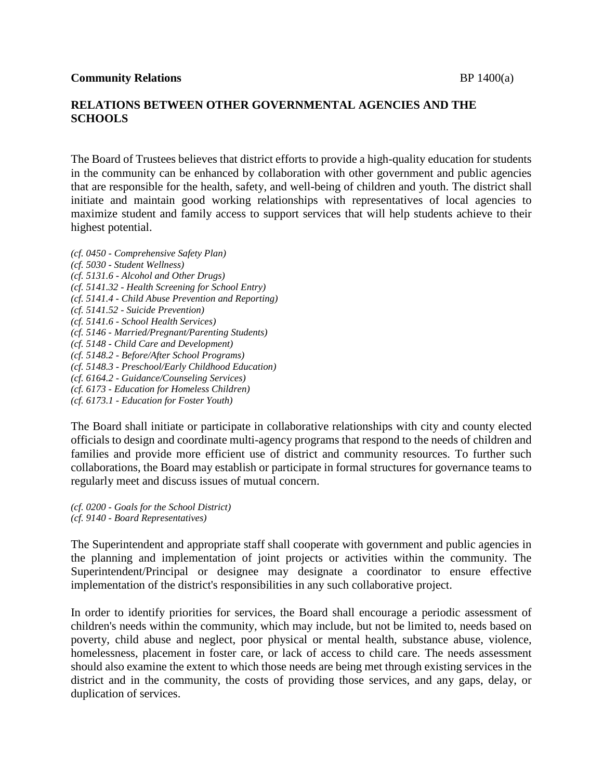## **RELATIONS BETWEEN OTHER GOVERNMENTAL AGENCIES AND THE SCHOOLS**

The Board of Trustees believes that district efforts to provide a high-quality education for students in the community can be enhanced by collaboration with other government and public agencies that are responsible for the health, safety, and well-being of children and youth. The district shall initiate and maintain good working relationships with representatives of local agencies to maximize student and family access to support services that will help students achieve to their highest potential.

*(cf. 0450 - Comprehensive Safety Plan) (cf. 5030 - Student Wellness) (cf. 5131.6 - Alcohol and Other Drugs) (cf. 5141.32 - Health Screening for School Entry) (cf. 5141.4 - Child Abuse Prevention and Reporting) (cf. 5141.52 - Suicide Prevention) (cf. 5141.6 - School Health Services) (cf. 5146 - Married/Pregnant/Parenting Students) (cf. 5148 - Child Care and Development) (cf. 5148.2 - Before/After School Programs) (cf. 5148.3 - Preschool/Early Childhood Education) (cf. 6164.2 - Guidance/Counseling Services) (cf. 6173 - Education for Homeless Children) (cf. 6173.1 - Education for Foster Youth)*

The Board shall initiate or participate in collaborative relationships with city and county elected officials to design and coordinate multi-agency programs that respond to the needs of children and families and provide more efficient use of district and community resources. To further such collaborations, the Board may establish or participate in formal structures for governance teams to regularly meet and discuss issues of mutual concern.

*(cf. 0200 - Goals for the School District) (cf. 9140 - Board Representatives)*

The Superintendent and appropriate staff shall cooperate with government and public agencies in the planning and implementation of joint projects or activities within the community. The Superintendent/Principal or designee may designate a coordinator to ensure effective implementation of the district's responsibilities in any such collaborative project.

In order to identify priorities for services, the Board shall encourage a periodic assessment of children's needs within the community, which may include, but not be limited to, needs based on poverty, child abuse and neglect, poor physical or mental health, substance abuse, violence, homelessness, placement in foster care, or lack of access to child care. The needs assessment should also examine the extent to which those needs are being met through existing services in the district and in the community, the costs of providing those services, and any gaps, delay, or duplication of services.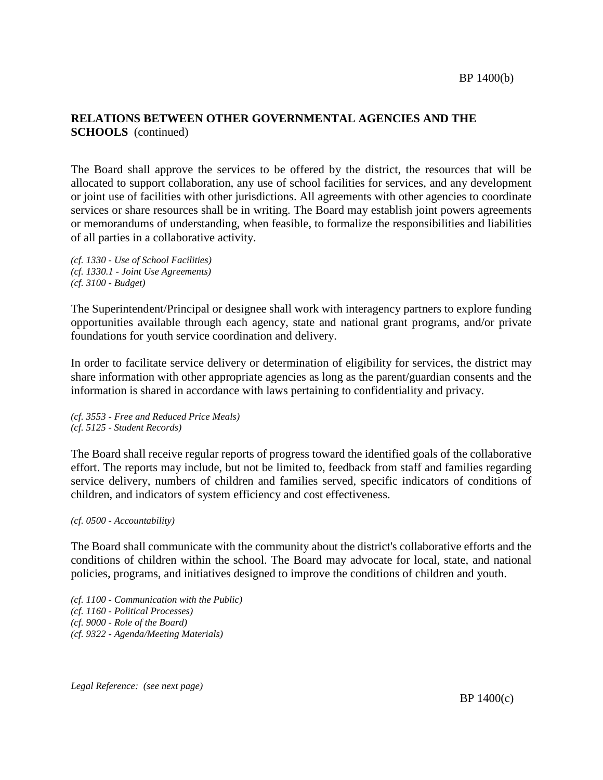## **RELATIONS BETWEEN OTHER GOVERNMENTAL AGENCIES AND THE SCHOOLS** (continued)

The Board shall approve the services to be offered by the district, the resources that will be allocated to support collaboration, any use of school facilities for services, and any development or joint use of facilities with other jurisdictions. All agreements with other agencies to coordinate services or share resources shall be in writing. The Board may establish joint powers agreements or memorandums of understanding, when feasible, to formalize the responsibilities and liabilities of all parties in a collaborative activity.

*(cf. 1330 - Use of School Facilities) (cf. 1330.1 - Joint Use Agreements) (cf. 3100 - Budget)*

The Superintendent/Principal or designee shall work with interagency partners to explore funding opportunities available through each agency, state and national grant programs, and/or private foundations for youth service coordination and delivery.

In order to facilitate service delivery or determination of eligibility for services, the district may share information with other appropriate agencies as long as the parent/guardian consents and the information is shared in accordance with laws pertaining to confidentiality and privacy.

*(cf. 3553 - Free and Reduced Price Meals) (cf. 5125 - Student Records)*

The Board shall receive regular reports of progress toward the identified goals of the collaborative effort. The reports may include, but not be limited to, feedback from staff and families regarding service delivery, numbers of children and families served, specific indicators of conditions of children, and indicators of system efficiency and cost effectiveness.

## *(cf. 0500 - Accountability)*

The Board shall communicate with the community about the district's collaborative efforts and the conditions of children within the school. The Board may advocate for local, state, and national policies, programs, and initiatives designed to improve the conditions of children and youth.

*(cf. 1100 - Communication with the Public) (cf. 1160 - Political Processes) (cf. 9000 - Role of the Board) (cf. 9322 - Agenda/Meeting Materials)*

*Legal Reference: (see next page)*